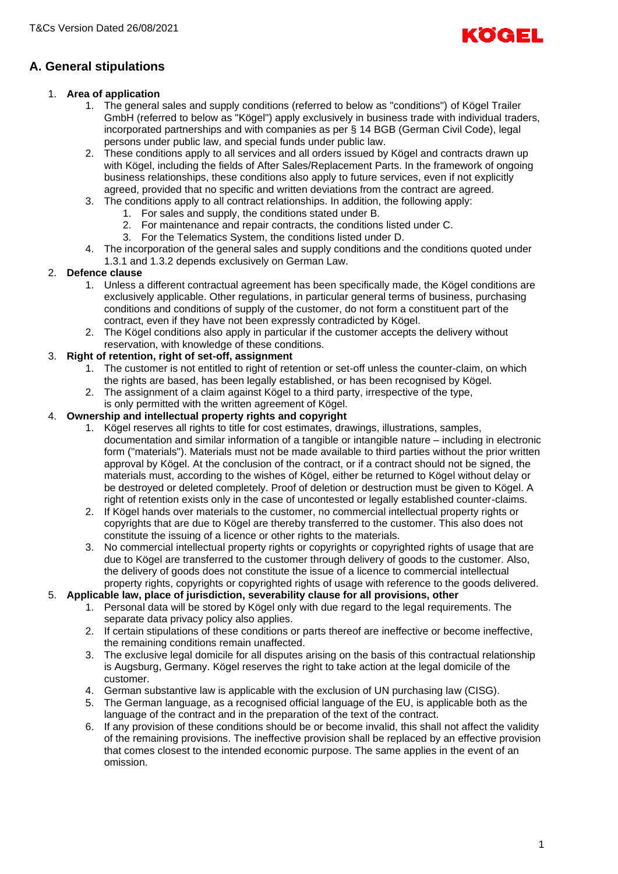

# **A. General stipulations**

# 1. **Area of application**

- 1. The general sales and supply conditions (referred to below as "conditions") of Kögel Trailer GmbH (referred to below as "Kögel") apply exclusively in business trade with individual traders, incorporated partnerships and with companies as per § 14 BGB (German Civil Code), legal persons under public law, and special funds under public law.
- 2. These conditions apply to all services and all orders issued by Kögel and contracts drawn up with Kögel, including the fields of After Sales/Replacement Parts. In the framework of ongoing business relationships, these conditions also apply to future services, even if not explicitly agreed, provided that no specific and written deviations from the contract are agreed.
- 3. The conditions apply to all contract relationships. In addition, the following apply:
	- 1. For sales and supply, the conditions stated under B.
	- 2. For maintenance and repair contracts, the conditions listed under C.
	- 3. For the Telematics System, the conditions listed under D.
- 4. The incorporation of the general sales and supply conditions and the conditions quoted under 1.3.1 and 1.3.2 depends exclusively on German Law.

# 2. **Defence clause**

- 1. Unless a different contractual agreement has been specifically made, the Kögel conditions are exclusively applicable. Other regulations, in particular general terms of business, purchasing conditions and conditions of supply of the customer, do not form a constituent part of the contract, even if they have not been expressly contradicted by Kögel.
- 2. The Kögel conditions also apply in particular if the customer accepts the delivery without reservation, with knowledge of these conditions.

# 3. **Right of retention, right of set-off, assignment**

- 1. The customer is not entitled to right of retention or set-off unless the counter-claim, on which the rights are based, has been legally established, or has been recognised by Kögel.
- 2. The assignment of a claim against Kögel to a third party, irrespective of the type, is only permitted with the written agreement of Kögel.

# 4. **Ownership and intellectual property rights and copyright**

- 1. Kögel reserves all rights to title for cost estimates, drawings, illustrations, samples, documentation and similar information of a tangible or intangible nature – including in electronic form ("materials"). Materials must not be made available to third parties without the prior written approval by Kögel. At the conclusion of the contract, or if a contract should not be signed, the materials must, according to the wishes of Kögel, either be returned to Kögel without delay or be destroyed or deleted completely. Proof of deletion or destruction must be given to Kögel. A right of retention exists only in the case of uncontested or legally established counter-claims.
- 2. If Kögel hands over materials to the customer, no commercial intellectual property rights or copyrights that are due to Kögel are thereby transferred to the customer. This also does not constitute the issuing of a licence or other rights to the materials.
- 3. No commercial intellectual property rights or copyrights or copyrighted rights of usage that are due to Kögel are transferred to the customer through delivery of goods to the customer. Also, the delivery of goods does not constitute the issue of a licence to commercial intellectual property rights, copyrights or copyrighted rights of usage with reference to the goods delivered.

### 5. **Applicable law, place of jurisdiction, severability clause for all provisions, other**

- 1. Personal data will be stored by Kögel only with due regard to the legal requirements. The separate data privacy policy also applies.
- 2. If certain stipulations of these conditions or parts thereof are ineffective or become ineffective, the remaining conditions remain unaffected.
- 3. The exclusive legal domicile for all disputes arising on the basis of this contractual relationship is Augsburg, Germany. Kögel reserves the right to take action at the legal domicile of the customer.
- 4. German substantive law is applicable with the exclusion of UN purchasing law (CISG).
- 5. The German language, as a recognised official language of the EU, is applicable both as the language of the contract and in the preparation of the text of the contract.
- 6. If any provision of these conditions should be or become invalid, this shall not affect the validity of the remaining provisions. The ineffective provision shall be replaced by an effective provision that comes closest to the intended economic purpose. The same applies in the event of an omission.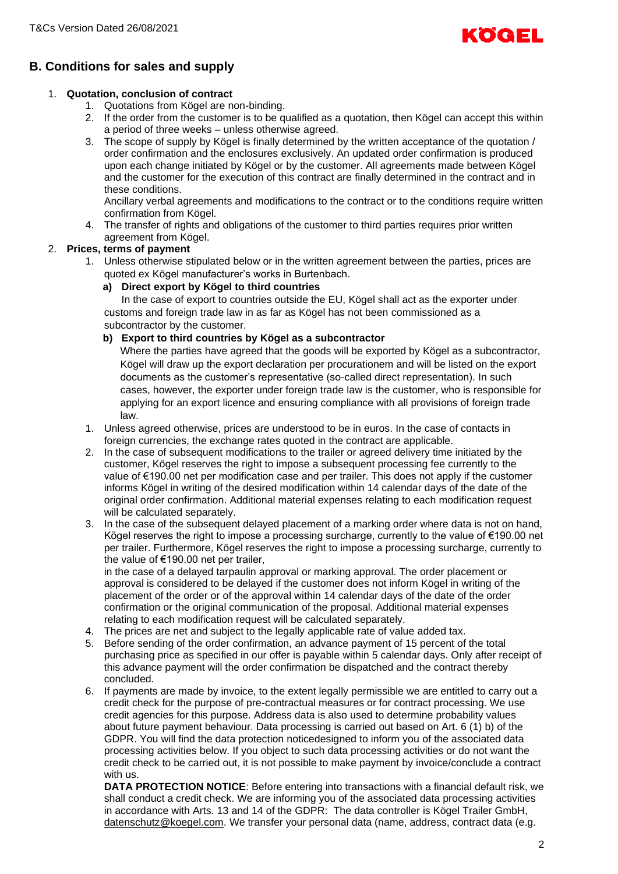

# **B. Conditions for sales and supply**

# 1. **Quotation, conclusion of contract**

- 1. Quotations from Kögel are non-binding.
- 2. If the order from the customer is to be qualified as a quotation, then Kögel can accept this within a period of three weeks – unless otherwise agreed.
- 3. The scope of supply by Kögel is finally determined by the written acceptance of the quotation / order confirmation and the enclosures exclusively. An updated order confirmation is produced upon each change initiated by Kögel or by the customer. All agreements made between Kögel and the customer for the execution of this contract are finally determined in the contract and in these conditions.

Ancillary verbal agreements and modifications to the contract or to the conditions require written confirmation from Kögel.

4. The transfer of rights and obligations of the customer to third parties requires prior written agreement from Kögel.

# 2. **Prices, terms of payment**

1. Unless otherwise stipulated below or in the written agreement between the parties, prices are quoted ex Kögel manufacturer's works in Burtenbach.

# **a) Direct export by Kögel to third countries**

In the case of export to countries outside the EU, Kögel shall act as the exporter under customs and foreign trade law in as far as Kögel has not been commissioned as a subcontractor by the customer.

# **b) Export to third countries by Kögel as a subcontractor**

Where the parties have agreed that the goods will be exported by Kögel as a subcontractor, Kögel will draw up the export declaration per procurationem and will be listed on the export documents as the customer's representative (so-called direct representation). In such cases, however, the exporter under foreign trade law is the customer, who is responsible for applying for an export licence and ensuring compliance with all provisions of foreign trade law.

- 1. Unless agreed otherwise, prices are understood to be in euros. In the case of contacts in foreign currencies, the exchange rates quoted in the contract are applicable.
- 2. In the case of subsequent modifications to the trailer or agreed delivery time initiated by the customer, Kögel reserves the right to impose a subsequent processing fee currently to the value of €190.00 net per modification case and per trailer. This does not apply if the customer informs Kögel in writing of the desired modification within 14 calendar days of the date of the original order confirmation. Additional material expenses relating to each modification request will be calculated separately.
- 3. In the case of the subsequent delayed placement of a marking order where data is not on hand, Kögel reserves the right to impose a processing surcharge, currently to the value of €190.00 net per trailer. Furthermore, Kögel reserves the right to impose a processing surcharge, currently to the value of €190.00 net per trailer,

in the case of a delayed tarpaulin approval or marking approval. The order placement or approval is considered to be delayed if the customer does not inform Kögel in writing of the placement of the order or of the approval within 14 calendar days of the date of the order confirmation or the original communication of the proposal. Additional material expenses relating to each modification request will be calculated separately.

- 4. The prices are net and subject to the legally applicable rate of value added tax.
- 5. Before sending of the order confirmation, an advance payment of 15 percent of the total purchasing price as specified in our offer is payable within 5 calendar days. Only after receipt of this advance payment will the order confirmation be dispatched and the contract thereby concluded.
- 6. If payments are made by invoice, to the extent legally permissible we are entitled to carry out a credit check for the purpose of pre-contractual measures or for contract processing. We use credit agencies for this purpose. Address data is also used to determine probability values about future payment behaviour. Data processing is carried out based on Art. 6 (1) b) of the GDPR. You will find the data protection noticedesigned to inform you of the associated data processing activities below. If you object to such data processing activities or do not want the credit check to be carried out, it is not possible to make payment by invoice/conclude a contract with us.

**DATA PROTECTION NOTICE**: Before entering into transactions with a financial default risk, we shall conduct a credit check. We are informing you of the associated data processing activities in accordance with Arts. 13 and 14 of the GDPR: The data controller is Kögel Trailer GmbH, datenschutz@koegel.com. We transfer your personal data (name, address, contract data (e.g.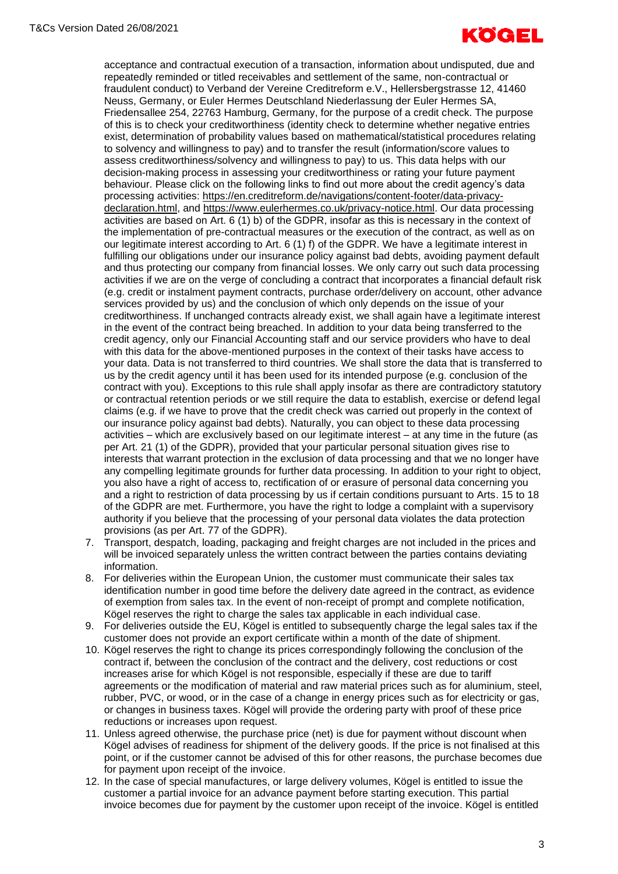

acceptance and contractual execution of a transaction, information about undisputed, due and repeatedly reminded or titled receivables and settlement of the same, non-contractual or fraudulent conduct) to Verband der Vereine Creditreform e.V., Hellersbergstrasse 12, 41460 Neuss, Germany, or Euler Hermes Deutschland Niederlassung der Euler Hermes SA, Friedensallee 254, 22763 Hamburg, Germany, for the purpose of a credit check. The purpose of this is to check your creditworthiness (identity check to determine whether negative entries exist, determination of probability values based on mathematical/statistical procedures relating to solvency and willingness to pay) and to transfer the result (information/score values to assess creditworthiness/solvency and willingness to pay) to us. This data helps with our decision-making process in assessing your creditworthiness or rating your future payment behaviour. Please click on the following links to find out more about the credit agency's data processing activities: https://en.creditreform.de/navigations/content-footer/data-privacydeclaration.html, and https://www.eulerhermes.co.uk/privacy-notice.html. Our data processing activities are based on Art. 6 (1) b) of the GDPR, insofar as this is necessary in the context of the implementation of pre-contractual measures or the execution of the contract, as well as on our legitimate interest according to Art. 6 (1) f) of the GDPR. We have a legitimate interest in fulfilling our obligations under our insurance policy against bad debts, avoiding payment default and thus protecting our company from financial losses. We only carry out such data processing activities if we are on the verge of concluding a contract that incorporates a financial default risk (e.g. credit or instalment payment contracts, purchase order/delivery on account, other advance services provided by us) and the conclusion of which only depends on the issue of your creditworthiness. If unchanged contracts already exist, we shall again have a legitimate interest in the event of the contract being breached. In addition to your data being transferred to the credit agency, only our Financial Accounting staff and our service providers who have to deal with this data for the above-mentioned purposes in the context of their tasks have access to your data. Data is not transferred to third countries. We shall store the data that is transferred to us by the credit agency until it has been used for its intended purpose (e.g. conclusion of the contract with you). Exceptions to this rule shall apply insofar as there are contradictory statutory or contractual retention periods or we still require the data to establish, exercise or defend legal claims (e.g. if we have to prove that the credit check was carried out properly in the context of our insurance policy against bad debts). Naturally, you can object to these data processing activities – which are exclusively based on our legitimate interest – at any time in the future (as per Art. 21 (1) of the GDPR), provided that your particular personal situation gives rise to interests that warrant protection in the exclusion of data processing and that we no longer have any compelling legitimate grounds for further data processing. In addition to your right to object, you also have a right of access to, rectification of or erasure of personal data concerning you and a right to restriction of data processing by us if certain conditions pursuant to Arts. 15 to 18 of the GDPR are met. Furthermore, you have the right to lodge a complaint with a supervisory authority if you believe that the processing of your personal data violates the data protection provisions (as per Art. 77 of the GDPR).

- 7. Transport, despatch, loading, packaging and freight charges are not included in the prices and will be invoiced separately unless the written contract between the parties contains deviating information.
- 8. For deliveries within the European Union, the customer must communicate their sales tax identification number in good time before the delivery date agreed in the contract, as evidence of exemption from sales tax. In the event of non-receipt of prompt and complete notification, Kögel reserves the right to charge the sales tax applicable in each individual case.
- 9. For deliveries outside the EU, Kögel is entitled to subsequently charge the legal sales tax if the customer does not provide an export certificate within a month of the date of shipment.
- 10. Kögel reserves the right to change its prices correspondingly following the conclusion of the contract if, between the conclusion of the contract and the delivery, cost reductions or cost increases arise for which Kögel is not responsible, especially if these are due to tariff agreements or the modification of material and raw material prices such as for aluminium, steel, rubber, PVC, or wood, or in the case of a change in energy prices such as for electricity or gas, or changes in business taxes. Kögel will provide the ordering party with proof of these price reductions or increases upon request.
- 11. Unless agreed otherwise, the purchase price (net) is due for payment without discount when Kögel advises of readiness for shipment of the delivery goods. If the price is not finalised at this point, or if the customer cannot be advised of this for other reasons, the purchase becomes due for payment upon receipt of the invoice.
- 12. In the case of special manufactures, or large delivery volumes, Kögel is entitled to issue the customer a partial invoice for an advance payment before starting execution. This partial invoice becomes due for payment by the customer upon receipt of the invoice. Kögel is entitled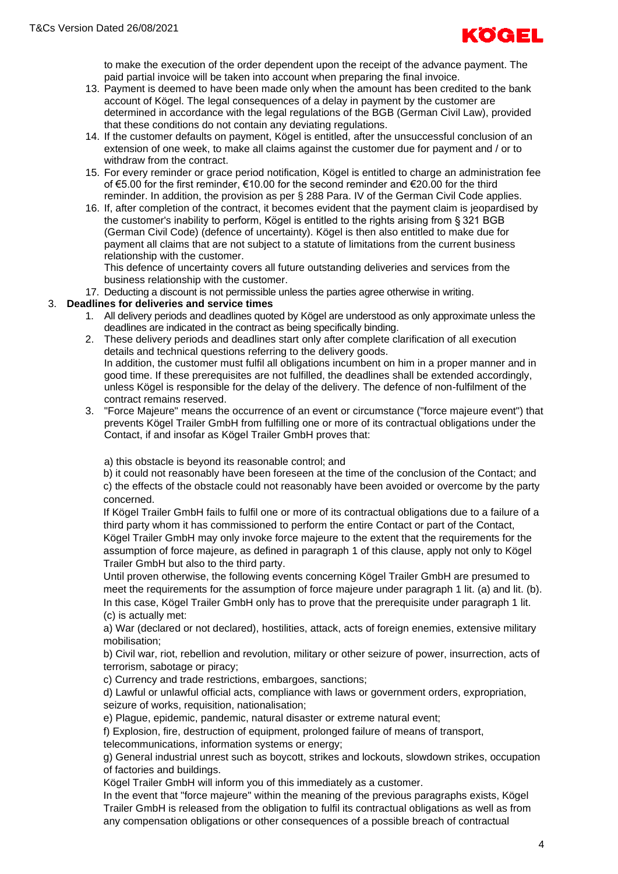

to make the execution of the order dependent upon the receipt of the advance payment. The paid partial invoice will be taken into account when preparing the final invoice.

- 13. Payment is deemed to have been made only when the amount has been credited to the bank account of Kögel. The legal consequences of a delay in payment by the customer are determined in accordance with the legal regulations of the BGB (German Civil Law), provided that these conditions do not contain any deviating regulations.
- 14. If the customer defaults on payment, Kögel is entitled, after the unsuccessful conclusion of an extension of one week, to make all claims against the customer due for payment and / or to withdraw from the contract.
- 15. For every reminder or grace period notification, Kögel is entitled to charge an administration fee of €5.00 for the first reminder, €10.00 for the second reminder and €20.00 for the third reminder. In addition, the provision as per § 288 Para. IV of the German Civil Code applies.
- 16. If, after completion of the contract, it becomes evident that the payment claim is jeopardised by the customer's inability to perform, Kögel is entitled to the rights arising from § 321 BGB (German Civil Code) (defence of uncertainty). Kögel is then also entitled to make due for payment all claims that are not subject to a statute of limitations from the current business relationship with the customer.

This defence of uncertainty covers all future outstanding deliveries and services from the business relationship with the customer.

17. Deducting a discount is not permissible unless the parties agree otherwise in writing.

#### 3. **Deadlines for deliveries and service times**

- 1. All delivery periods and deadlines quoted by Kögel are understood as only approximate unless the deadlines are indicated in the contract as being specifically binding.
- 2. These delivery periods and deadlines start only after complete clarification of all execution details and technical questions referring to the delivery goods. In addition, the customer must fulfil all obligations incumbent on him in a proper manner and in good time. If these prerequisites are not fulfilled, the deadlines shall be extended accordingly, unless Kögel is responsible for the delay of the delivery. The defence of non-fulfilment of the contract remains reserved.
- 3. "Force Majeure" means the occurrence of an event or circumstance ("force majeure event") that prevents Kögel Trailer GmbH from fulfilling one or more of its contractual obligations under the Contact, if and insofar as Kögel Trailer GmbH proves that:

a) this obstacle is beyond its reasonable control; and

b) it could not reasonably have been foreseen at the time of the conclusion of the Contact; and c) the effects of the obstacle could not reasonably have been avoided or overcome by the party concerned.

If Kögel Trailer GmbH fails to fulfil one or more of its contractual obligations due to a failure of a third party whom it has commissioned to perform the entire Contact or part of the Contact, Kögel Trailer GmbH may only invoke force majeure to the extent that the requirements for the assumption of force majeure, as defined in paragraph 1 of this clause, apply not only to Kögel Trailer GmbH but also to the third party.

Until proven otherwise, the following events concerning Kögel Trailer GmbH are presumed to meet the requirements for the assumption of force majeure under paragraph 1 lit. (a) and lit. (b). In this case, Kögel Trailer GmbH only has to prove that the prerequisite under paragraph 1 lit. (c) is actually met:

a) War (declared or not declared), hostilities, attack, acts of foreign enemies, extensive military mobilisation;

b) Civil war, riot, rebellion and revolution, military or other seizure of power, insurrection, acts of terrorism, sabotage or piracy;

c) Currency and trade restrictions, embargoes, sanctions;

d) Lawful or unlawful official acts, compliance with laws or government orders, expropriation, seizure of works, requisition, nationalisation;

e) Plague, epidemic, pandemic, natural disaster or extreme natural event;

f) Explosion, fire, destruction of equipment, prolonged failure of means of transport,

telecommunications, information systems or energy;

g) General industrial unrest such as boycott, strikes and lockouts, slowdown strikes, occupation of factories and buildings.

Kögel Trailer GmbH will inform you of this immediately as a customer.

In the event that "force majeure" within the meaning of the previous paragraphs exists, Kögel Trailer GmbH is released from the obligation to fulfil its contractual obligations as well as from any compensation obligations or other consequences of a possible breach of contractual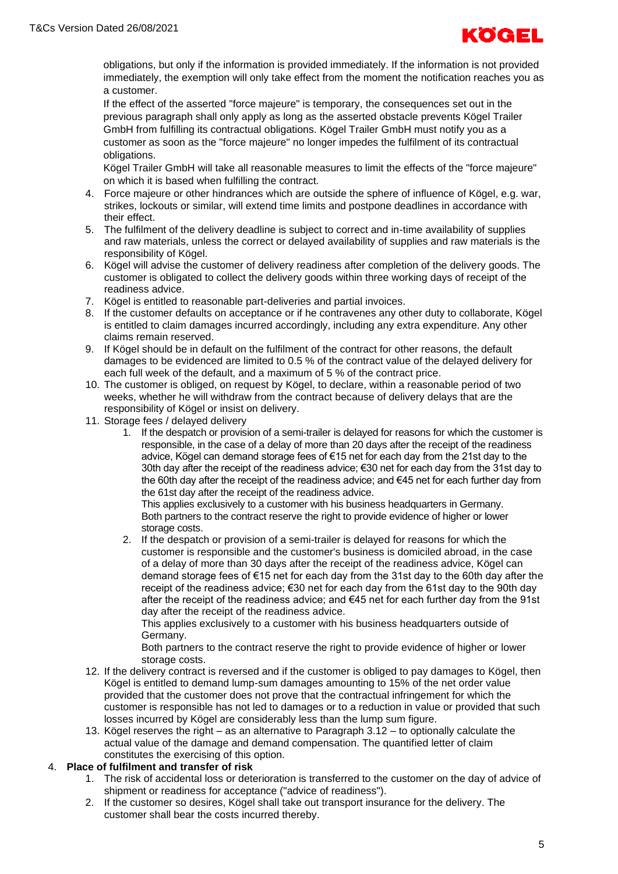

obligations, but only if the information is provided immediately. If the information is not provided immediately, the exemption will only take effect from the moment the notification reaches you as a customer.

If the effect of the asserted "force majeure" is temporary, the consequences set out in the previous paragraph shall only apply as long as the asserted obstacle prevents Kögel Trailer GmbH from fulfilling its contractual obligations. Kögel Trailer GmbH must notify you as a customer as soon as the "force majeure" no longer impedes the fulfilment of its contractual obligations.

Kögel Trailer GmbH will take all reasonable measures to limit the effects of the "force majeure" on which it is based when fulfilling the contract.

- 4. Force majeure or other hindrances which are outside the sphere of influence of Kögel, e.g. war, strikes, lockouts or similar, will extend time limits and postpone deadlines in accordance with their effect.
- 5. The fulfilment of the delivery deadline is subject to correct and in-time availability of supplies and raw materials, unless the correct or delayed availability of supplies and raw materials is the responsibility of Kögel.
- 6. Kögel will advise the customer of delivery readiness after completion of the delivery goods. The customer is obligated to collect the delivery goods within three working days of receipt of the readiness advice.
- 7. Kögel is entitled to reasonable part-deliveries and partial invoices.
- 8. If the customer defaults on acceptance or if he contravenes any other duty to collaborate, Kögel is entitled to claim damages incurred accordingly, including any extra expenditure. Any other claims remain reserved.
- 9. If Kögel should be in default on the fulfilment of the contract for other reasons, the default damages to be evidenced are limited to 0.5 % of the contract value of the delayed delivery for each full week of the default, and a maximum of 5 % of the contract price.
- 10. The customer is obliged, on request by Kögel, to declare, within a reasonable period of two weeks, whether he will withdraw from the contract because of delivery delays that are the responsibility of Kögel or insist on delivery.
- 11. Storage fees / delayed delivery
	- 1. If the despatch or provision of a semi-trailer is delayed for reasons for which the customer is responsible, in the case of a delay of more than 20 days after the receipt of the readiness advice, Kögel can demand storage fees of €15 net for each day from the 21st day to the 30th day after the receipt of the readiness advice; €30 net for each day from the 31st day to the 60th day after the receipt of the readiness advice; and €45 net for each further day from the 61st day after the receipt of the readiness advice.

This applies exclusively to a customer with his business headquarters in Germany. Both partners to the contract reserve the right to provide evidence of higher or lower storage costs.

2. If the despatch or provision of a semi-trailer is delayed for reasons for which the customer is responsible and the customer's business is domiciled abroad, in the case of a delay of more than 30 days after the receipt of the readiness advice, Kögel can demand storage fees of €15 net for each day from the 31st day to the 60th day after the receipt of the readiness advice; €30 net for each day from the 61st day to the 90th day after the receipt of the readiness advice; and  $\epsilon$ 45 net for each further day from the 91st day after the receipt of the readiness advice.

This applies exclusively to a customer with his business headquarters outside of Germany.

Both partners to the contract reserve the right to provide evidence of higher or lower storage costs.

- 12. If the delivery contract is reversed and if the customer is obliged to pay damages to Kögel, then Kögel is entitled to demand lump-sum damages amounting to 15% of the net order value provided that the customer does not prove that the contractual infringement for which the customer is responsible has not led to damages or to a reduction in value or provided that such losses incurred by Kögel are considerably less than the lump sum figure.
- 13. Kögel reserves the right as an alternative to Paragraph 3.12 to optionally calculate the actual value of the damage and demand compensation. The quantified letter of claim constitutes the exercising of this option.

#### 4. **Place of fulfilment and transfer of risk**

- 1. The risk of accidental loss or deterioration is transferred to the customer on the day of advice of shipment or readiness for acceptance ("advice of readiness").
- 2. If the customer so desires, Kögel shall take out transport insurance for the delivery. The customer shall bear the costs incurred thereby.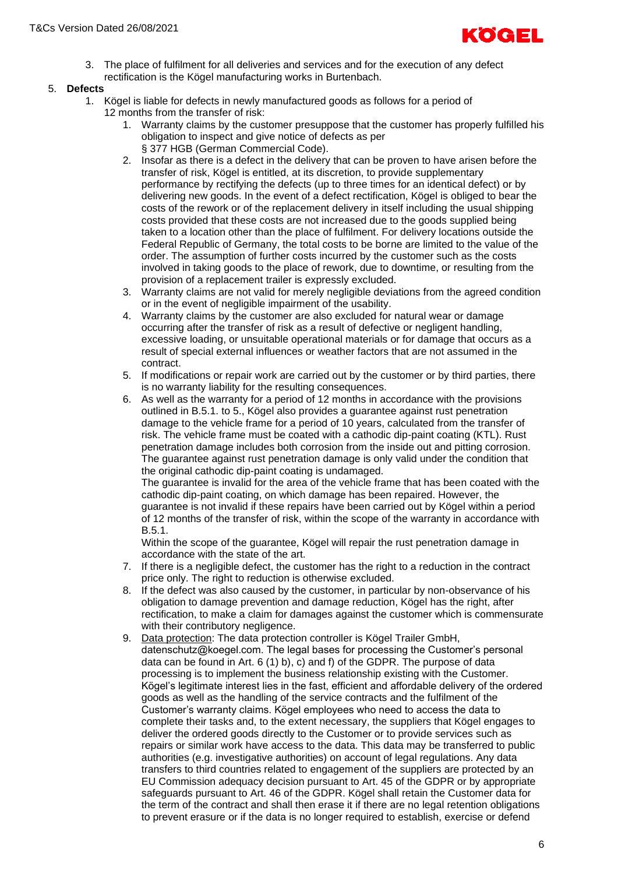

3. The place of fulfilment for all deliveries and services and for the execution of any defect rectification is the Kögel manufacturing works in Burtenbach.

## 5. **Defects**

- 1. Kögel is liable for defects in newly manufactured goods as follows for a period of
	- 12 months from the transfer of risk:
		- 1. Warranty claims by the customer presuppose that the customer has properly fulfilled his obligation to inspect and give notice of defects as per § 377 HGB (German Commercial Code).
		- 2. Insofar as there is a defect in the delivery that can be proven to have arisen before the transfer of risk, Kögel is entitled, at its discretion, to provide supplementary performance by rectifying the defects (up to three times for an identical defect) or by delivering new goods. In the event of a defect rectification, Kögel is obliged to bear the costs of the rework or of the replacement delivery in itself including the usual shipping costs provided that these costs are not increased due to the goods supplied being taken to a location other than the place of fulfilment. For delivery locations outside the Federal Republic of Germany, the total costs to be borne are limited to the value of the order. The assumption of further costs incurred by the customer such as the costs involved in taking goods to the place of rework, due to downtime, or resulting from the provision of a replacement trailer is expressly excluded.
		- 3. Warranty claims are not valid for merely negligible deviations from the agreed condition or in the event of negligible impairment of the usability.
		- 4. Warranty claims by the customer are also excluded for natural wear or damage occurring after the transfer of risk as a result of defective or negligent handling, excessive loading, or unsuitable operational materials or for damage that occurs as a result of special external influences or weather factors that are not assumed in the contract.
		- 5. If modifications or repair work are carried out by the customer or by third parties, there is no warranty liability for the resulting consequences.
		- 6. As well as the warranty for a period of 12 months in accordance with the provisions outlined in B.5.1. to 5., Kögel also provides a guarantee against rust penetration damage to the vehicle frame for a period of 10 years, calculated from the transfer of risk. The vehicle frame must be coated with a cathodic dip-paint coating (KTL). Rust penetration damage includes both corrosion from the inside out and pitting corrosion. The guarantee against rust penetration damage is only valid under the condition that the original cathodic dip-paint coating is undamaged.

The guarantee is invalid for the area of the vehicle frame that has been coated with the cathodic dip-paint coating, on which damage has been repaired. However, the guarantee is not invalid if these repairs have been carried out by Kögel within a period of 12 months of the transfer of risk, within the scope of the warranty in accordance with B.5.1.

Within the scope of the guarantee, Kögel will repair the rust penetration damage in accordance with the state of the art.

- 7. If there is a negligible defect, the customer has the right to a reduction in the contract price only. The right to reduction is otherwise excluded.
- 8. If the defect was also caused by the customer, in particular by non-observance of his obligation to damage prevention and damage reduction, Kögel has the right, after rectification, to make a claim for damages against the customer which is commensurate with their contributory negligence.
- 9. Data protection: The data protection controller is Kögel Trailer GmbH, datenschutz@koegel.com. The legal bases for processing the Customer's personal data can be found in Art. 6 (1) b), c) and f) of the GDPR. The purpose of data processing is to implement the business relationship existing with the Customer. Kögel's legitimate interest lies in the fast, efficient and affordable delivery of the ordered goods as well as the handling of the service contracts and the fulfilment of the Customer's warranty claims. Kögel employees who need to access the data to complete their tasks and, to the extent necessary, the suppliers that Kögel engages to deliver the ordered goods directly to the Customer or to provide services such as repairs or similar work have access to the data. This data may be transferred to public authorities (e.g. investigative authorities) on account of legal regulations. Any data transfers to third countries related to engagement of the suppliers are protected by an EU Commission adequacy decision pursuant to Art. 45 of the GDPR or by appropriate safeguards pursuant to Art. 46 of the GDPR. Kögel shall retain the Customer data for the term of the contract and shall then erase it if there are no legal retention obligations to prevent erasure or if the data is no longer required to establish, exercise or defend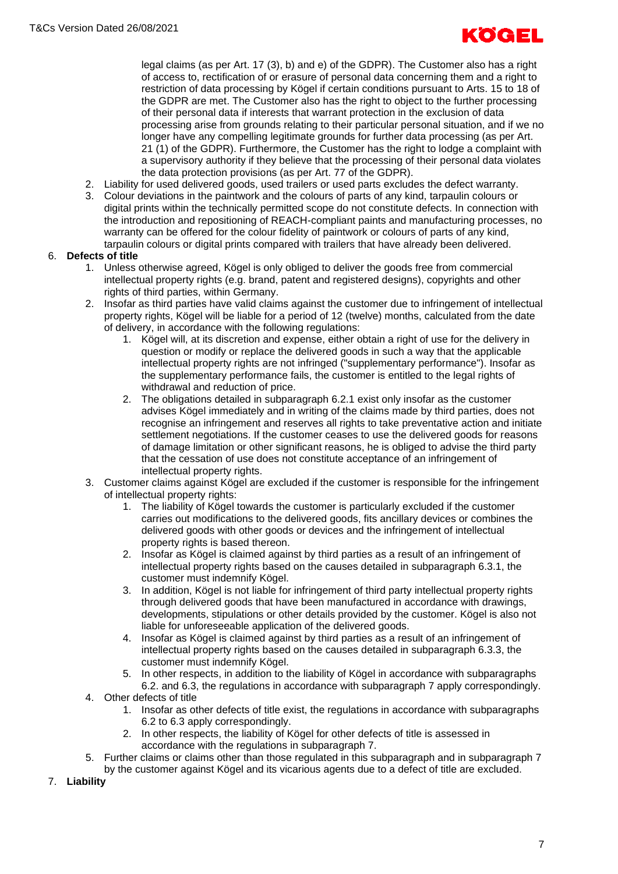legal claims (as per Art. 17 (3), b) and e) of the GDPR). The Customer also has a right of access to, rectification of or erasure of personal data concerning them and a right to restriction of data processing by Kögel if certain conditions pursuant to Arts. 15 to 18 of the GDPR are met. The Customer also has the right to object to the further processing of their personal data if interests that warrant protection in the exclusion of data processing arise from grounds relating to their particular personal situation, and if we no longer have any compelling legitimate grounds for further data processing (as per Art. 21 (1) of the GDPR). Furthermore, the Customer has the right to lodge a complaint with a supervisory authority if they believe that the processing of their personal data violates the data protection provisions (as per Art. 77 of the GDPR).

- 2. Liability for used delivered goods, used trailers or used parts excludes the defect warranty.
- 3. Colour deviations in the paintwork and the colours of parts of any kind, tarpaulin colours or digital prints within the technically permitted scope do not constitute defects. In connection with the introduction and repositioning of REACH-compliant paints and manufacturing processes, no warranty can be offered for the colour fidelity of paintwork or colours of parts of any kind, tarpaulin colours or digital prints compared with trailers that have already been delivered.

# 6. **Defects of title**

- 1. Unless otherwise agreed, Kögel is only obliged to deliver the goods free from commercial intellectual property rights (e.g. brand, patent and registered designs), copyrights and other rights of third parties, within Germany.
- 2. Insofar as third parties have valid claims against the customer due to infringement of intellectual property rights, Kögel will be liable for a period of 12 (twelve) months, calculated from the date of delivery, in accordance with the following regulations:
	- 1. Kögel will, at its discretion and expense, either obtain a right of use for the delivery in question or modify or replace the delivered goods in such a way that the applicable intellectual property rights are not infringed ("supplementary performance"). Insofar as the supplementary performance fails, the customer is entitled to the legal rights of withdrawal and reduction of price.
	- 2. The obligations detailed in subparagraph 6.2.1 exist only insofar as the customer advises Kögel immediately and in writing of the claims made by third parties, does not recognise an infringement and reserves all rights to take preventative action and initiate settlement negotiations. If the customer ceases to use the delivered goods for reasons of damage limitation or other significant reasons, he is obliged to advise the third party that the cessation of use does not constitute acceptance of an infringement of intellectual property rights.
- 3. Customer claims against Kögel are excluded if the customer is responsible for the infringement of intellectual property rights:
	- 1. The liability of Kögel towards the customer is particularly excluded if the customer carries out modifications to the delivered goods, fits ancillary devices or combines the delivered goods with other goods or devices and the infringement of intellectual property rights is based thereon.
	- 2. Insofar as Kögel is claimed against by third parties as a result of an infringement of intellectual property rights based on the causes detailed in subparagraph 6.3.1, the customer must indemnify Kögel.
	- 3. In addition, Kögel is not liable for infringement of third party intellectual property rights through delivered goods that have been manufactured in accordance with drawings, developments, stipulations or other details provided by the customer. Kögel is also not liable for unforeseeable application of the delivered goods.
	- 4. Insofar as Kögel is claimed against by third parties as a result of an infringement of intellectual property rights based on the causes detailed in subparagraph 6.3.3, the customer must indemnify Kögel.
	- 5. In other respects, in addition to the liability of Kögel in accordance with subparagraphs 6.2. and 6.3, the regulations in accordance with subparagraph 7 apply correspondingly.
- 4. Other defects of title
	- 1. Insofar as other defects of title exist, the regulations in accordance with subparagraphs 6.2 to 6.3 apply correspondingly.
	- 2. In other respects, the liability of Kögel for other defects of title is assessed in accordance with the regulations in subparagraph 7.
- 5. Further claims or claims other than those regulated in this subparagraph and in subparagraph 7 by the customer against Kögel and its vicarious agents due to a defect of title are excluded.
- 7. **Liability**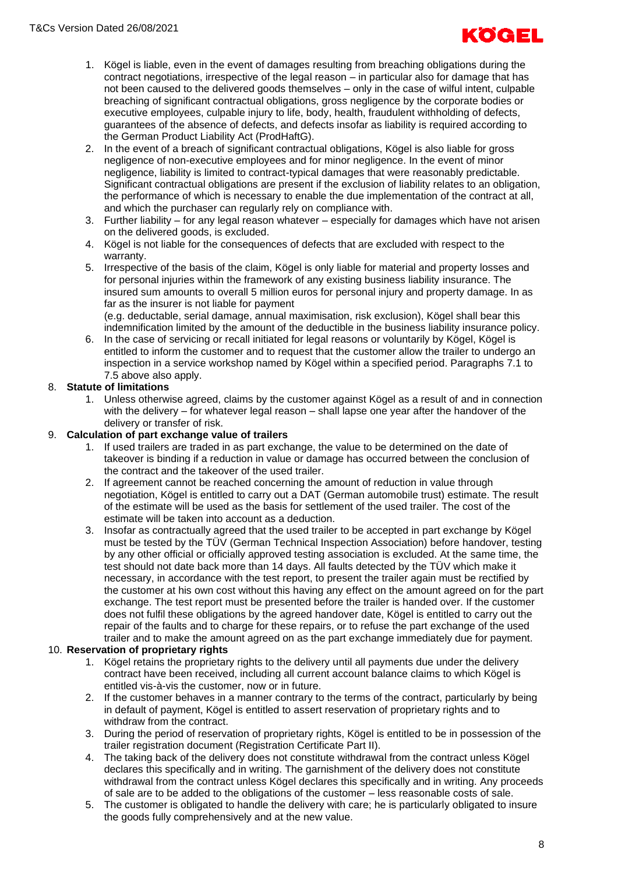

- 1. Kögel is liable, even in the event of damages resulting from breaching obligations during the contract negotiations, irrespective of the legal reason – in particular also for damage that has not been caused to the delivered goods themselves – only in the case of wilful intent, culpable breaching of significant contractual obligations, gross negligence by the corporate bodies or executive employees, culpable injury to life, body, health, fraudulent withholding of defects, guarantees of the absence of defects, and defects insofar as liability is required according to the German Product Liability Act (ProdHaftG).
- 2. In the event of a breach of significant contractual obligations, Kögel is also liable for gross negligence of non-executive employees and for minor negligence. In the event of minor negligence, liability is limited to contract-typical damages that were reasonably predictable. Significant contractual obligations are present if the exclusion of liability relates to an obligation, the performance of which is necessary to enable the due implementation of the contract at all, and which the purchaser can regularly rely on compliance with.
- 3. Further liability for any legal reason whatever especially for damages which have not arisen on the delivered goods, is excluded.
- 4. Kögel is not liable for the consequences of defects that are excluded with respect to the warranty.
- 5. Irrespective of the basis of the claim, Kögel is only liable for material and property losses and for personal injuries within the framework of any existing business liability insurance. The insured sum amounts to overall 5 million euros for personal injury and property damage. In as far as the insurer is not liable for payment

(e.g. deductable, serial damage, annual maximisation, risk exclusion), Kögel shall bear this indemnification limited by the amount of the deductible in the business liability insurance policy.

6. In the case of servicing or recall initiated for legal reasons or voluntarily by Kögel, Kögel is entitled to inform the customer and to request that the customer allow the trailer to undergo an inspection in a service workshop named by Kögel within a specified period. Paragraphs 7.1 to 7.5 above also apply.

# 8. **Statute of limitations**

1. Unless otherwise agreed, claims by the customer against Kögel as a result of and in connection with the delivery – for whatever legal reason – shall lapse one year after the handover of the delivery or transfer of risk.

#### 9. **Calculation of part exchange value of trailers**

- 1. If used trailers are traded in as part exchange, the value to be determined on the date of takeover is binding if a reduction in value or damage has occurred between the conclusion of the contract and the takeover of the used trailer.
- 2. If agreement cannot be reached concerning the amount of reduction in value through negotiation, Kögel is entitled to carry out a DAT (German automobile trust) estimate. The result of the estimate will be used as the basis for settlement of the used trailer. The cost of the estimate will be taken into account as a deduction.
- 3. Insofar as contractually agreed that the used trailer to be accepted in part exchange by Kögel must be tested by the TÜV (German Technical Inspection Association) before handover, testing by any other official or officially approved testing association is excluded. At the same time, the test should not date back more than 14 days. All faults detected by the TÜV which make it necessary, in accordance with the test report, to present the trailer again must be rectified by the customer at his own cost without this having any effect on the amount agreed on for the part exchange. The test report must be presented before the trailer is handed over. If the customer does not fulfil these obligations by the agreed handover date, Kögel is entitled to carry out the repair of the faults and to charge for these repairs, or to refuse the part exchange of the used trailer and to make the amount agreed on as the part exchange immediately due for payment.

#### 10. **Reservation of proprietary rights**

- 1. Kögel retains the proprietary rights to the delivery until all payments due under the delivery contract have been received, including all current account balance claims to which Kögel is entitled vis-à-vis the customer, now or in future.
- 2. If the customer behaves in a manner contrary to the terms of the contract, particularly by being in default of payment, Kögel is entitled to assert reservation of proprietary rights and to withdraw from the contract.
- 3. During the period of reservation of proprietary rights, Kögel is entitled to be in possession of the trailer registration document (Registration Certificate Part II).
- 4. The taking back of the delivery does not constitute withdrawal from the contract unless Kögel declares this specifically and in writing. The garnishment of the delivery does not constitute withdrawal from the contract unless Kögel declares this specifically and in writing. Any proceeds of sale are to be added to the obligations of the customer – less reasonable costs of sale.
- 5. The customer is obligated to handle the delivery with care; he is particularly obligated to insure the goods fully comprehensively and at the new value.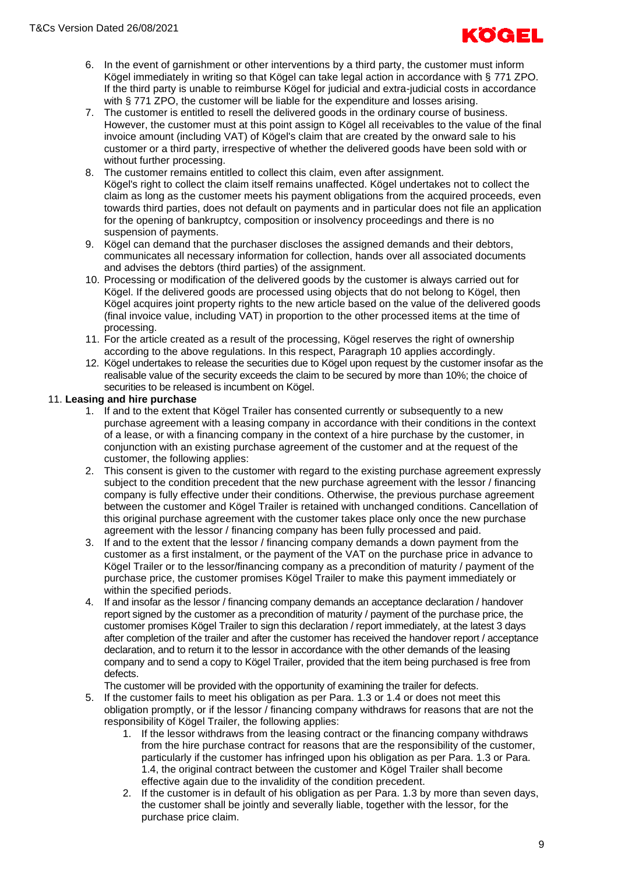

- 6. In the event of garnishment or other interventions by a third party, the customer must inform Kögel immediately in writing so that Kögel can take legal action in accordance with § 771 ZPO. If the third party is unable to reimburse Kögel for judicial and extra-judicial costs in accordance with § 771 ZPO, the customer will be liable for the expenditure and losses arising.
- 7. The customer is entitled to resell the delivered goods in the ordinary course of business. However, the customer must at this point assign to Kögel all receivables to the value of the final invoice amount (including VAT) of Kögel's claim that are created by the onward sale to his customer or a third party, irrespective of whether the delivered goods have been sold with or without further processing.
- 8. The customer remains entitled to collect this claim, even after assignment. Kögel's right to collect the claim itself remains unaffected. Kögel undertakes not to collect the claim as long as the customer meets his payment obligations from the acquired proceeds, even towards third parties, does not default on payments and in particular does not file an application for the opening of bankruptcy, composition or insolvency proceedings and there is no suspension of payments.
- 9. Kögel can demand that the purchaser discloses the assigned demands and their debtors, communicates all necessary information for collection, hands over all associated documents and advises the debtors (third parties) of the assignment.
- 10. Processing or modification of the delivered goods by the customer is always carried out for Kögel. If the delivered goods are processed using objects that do not belong to Kögel, then Kögel acquires joint property rights to the new article based on the value of the delivered goods (final invoice value, including VAT) in proportion to the other processed items at the time of processing.
- 11. For the article created as a result of the processing, Kögel reserves the right of ownership according to the above regulations. In this respect, Paragraph 10 applies accordingly.
- 12. Kögel undertakes to release the securities due to Kögel upon request by the customer insofar as the realisable value of the security exceeds the claim to be secured by more than 10%; the choice of securities to be released is incumbent on Kögel.

#### 11. **Leasing and hire purchase**

- 1. If and to the extent that Kögel Trailer has consented currently or subsequently to a new purchase agreement with a leasing company in accordance with their conditions in the context of a lease, or with a financing company in the context of a hire purchase by the customer, in conjunction with an existing purchase agreement of the customer and at the request of the customer, the following applies:
- 2. This consent is given to the customer with regard to the existing purchase agreement expressly subject to the condition precedent that the new purchase agreement with the lessor / financing company is fully effective under their conditions. Otherwise, the previous purchase agreement between the customer and Kögel Trailer is retained with unchanged conditions. Cancellation of this original purchase agreement with the customer takes place only once the new purchase agreement with the lessor / financing company has been fully processed and paid.
- 3. If and to the extent that the lessor / financing company demands a down payment from the customer as a first instalment, or the payment of the VAT on the purchase price in advance to Kögel Trailer or to the lessor/financing company as a precondition of maturity / payment of the purchase price, the customer promises Kögel Trailer to make this payment immediately or within the specified periods.
- 4. If and insofar as the lessor / financing company demands an acceptance declaration / handover report signed by the customer as a precondition of maturity / payment of the purchase price, the customer promises Kögel Trailer to sign this declaration / report immediately, at the latest 3 days after completion of the trailer and after the customer has received the handover report / acceptance declaration, and to return it to the lessor in accordance with the other demands of the leasing company and to send a copy to Kögel Trailer, provided that the item being purchased is free from defects.

The customer will be provided with the opportunity of examining the trailer for defects.

- 5. If the customer fails to meet his obligation as per Para. 1.3 or 1.4 or does not meet this obligation promptly, or if the lessor / financing company withdraws for reasons that are not the responsibility of Kögel Trailer, the following applies:
	- 1. If the lessor withdraws from the leasing contract or the financing company withdraws from the hire purchase contract for reasons that are the responsibility of the customer, particularly if the customer has infringed upon his obligation as per Para. 1.3 or Para. 1.4, the original contract between the customer and Kögel Trailer shall become effective again due to the invalidity of the condition precedent.
	- 2. If the customer is in default of his obligation as per Para. 1.3 by more than seven days, the customer shall be jointly and severally liable, together with the lessor, for the purchase price claim.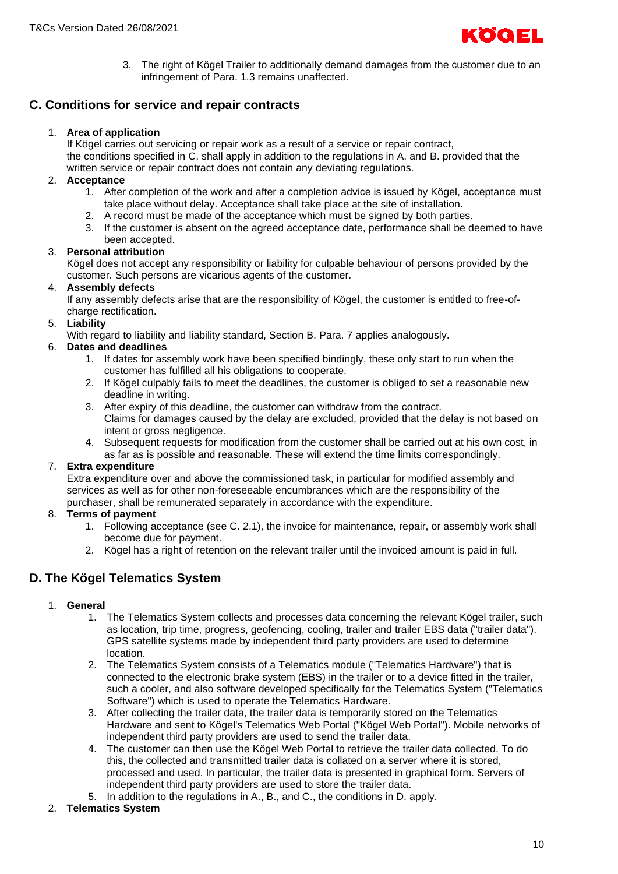

3. The right of Kögel Trailer to additionally demand damages from the customer due to an infringement of Para. 1.3 remains unaffected.

# **C. Conditions for service and repair contracts**

#### 1. **Area of application**

If Kögel carries out servicing or repair work as a result of a service or repair contract, the conditions specified in C. shall apply in addition to the regulations in A. and B. provided that the written service or repair contract does not contain any deviating regulations.

#### 2. **Acceptance**

- 1. After completion of the work and after a completion advice is issued by Kögel, acceptance must take place without delay. Acceptance shall take place at the site of installation.
- 2. A record must be made of the acceptance which must be signed by both parties.
- 3. If the customer is absent on the agreed acceptance date, performance shall be deemed to have been accepted.

#### 3. **Personal attribution**

Kögel does not accept any responsibility or liability for culpable behaviour of persons provided by the customer. Such persons are vicarious agents of the customer.

#### 4. **Assembly defects**

If any assembly defects arise that are the responsibility of Kögel, the customer is entitled to free-ofcharge rectification.

#### 5. **Liability**

With regard to liability and liability standard, Section B. Para. 7 applies analogously.

#### 6. **Dates and deadlines**

- 1. If dates for assembly work have been specified bindingly, these only start to run when the customer has fulfilled all his obligations to cooperate.
- 2. If Kögel culpably fails to meet the deadlines, the customer is obliged to set a reasonable new deadline in writing.
- 3. After expiry of this deadline, the customer can withdraw from the contract. Claims for damages caused by the delay are excluded, provided that the delay is not based on intent or gross negligence.
- 4. Subsequent requests for modification from the customer shall be carried out at his own cost, in as far as is possible and reasonable. These will extend the time limits correspondingly.

#### 7. **Extra expenditure**

Extra expenditure over and above the commissioned task, in particular for modified assembly and services as well as for other non-foreseeable encumbrances which are the responsibility of the purchaser, shall be remunerated separately in accordance with the expenditure.

#### 8. **Terms of payment**

- 1. Following acceptance (see C. 2.1), the invoice for maintenance, repair, or assembly work shall become due for payment.
- 2. Kögel has a right of retention on the relevant trailer until the invoiced amount is paid in full.

# **D. The Kögel Telematics System**

#### 1. **General**

- 1. The Telematics System collects and processes data concerning the relevant Kögel trailer, such as location, trip time, progress, geofencing, cooling, trailer and trailer EBS data ("trailer data"). GPS satellite systems made by independent third party providers are used to determine location.
- 2. The Telematics System consists of a Telematics module ("Telematics Hardware") that is connected to the electronic brake system (EBS) in the trailer or to a device fitted in the trailer, such a cooler, and also software developed specifically for the Telematics System ("Telematics Software") which is used to operate the Telematics Hardware.
- 3. After collecting the trailer data, the trailer data is temporarily stored on the Telematics Hardware and sent to Kögel's Telematics Web Portal ("Kögel Web Portal"). Mobile networks of independent third party providers are used to send the trailer data.
- 4. The customer can then use the Kögel Web Portal to retrieve the trailer data collected. To do this, the collected and transmitted trailer data is collated on a server where it is stored, processed and used. In particular, the trailer data is presented in graphical form. Servers of independent third party providers are used to store the trailer data.
- 5. In addition to the regulations in A., B., and C., the conditions in D. apply.

#### 2. **Telematics System**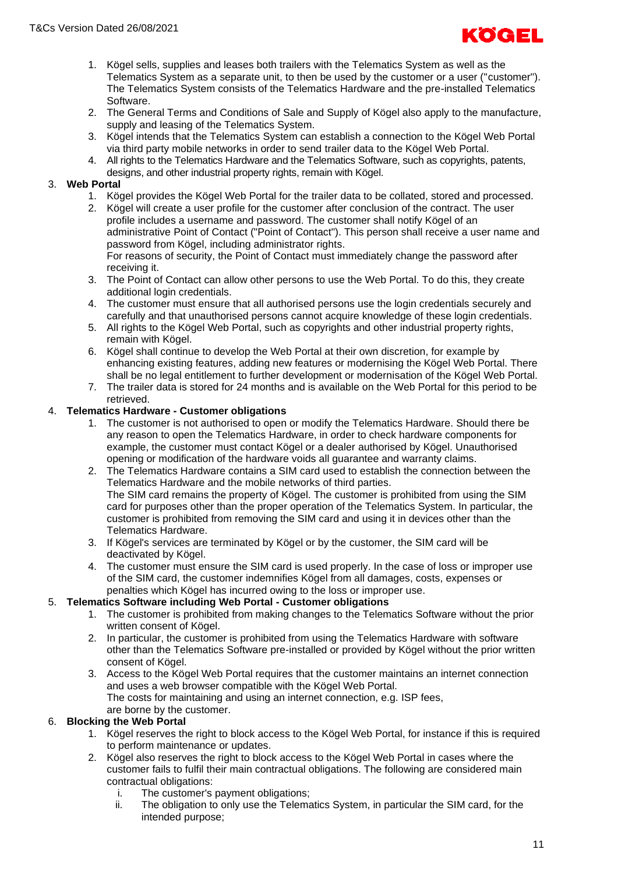

- 1. Kögel sells, supplies and leases both trailers with the Telematics System as well as the Telematics System as a separate unit, to then be used by the customer or a user ("customer"). The Telematics System consists of the Telematics Hardware and the pre-installed Telematics Software.
- 2. The General Terms and Conditions of Sale and Supply of Kögel also apply to the manufacture, supply and leasing of the Telematics System.
- 3. Kögel intends that the Telematics System can establish a connection to the Kögel Web Portal via third party mobile networks in order to send trailer data to the Kögel Web Portal.
- 4. All rights to the Telematics Hardware and the Telematics Software, such as copyrights, patents, designs, and other industrial property rights, remain with Kögel.

# 3. **Web Portal**

- 1. Kögel provides the Kögel Web Portal for the trailer data to be collated, stored and processed.
- 2. Kögel will create a user profile for the customer after conclusion of the contract. The user profile includes a username and password. The customer shall notify Kögel of an administrative Point of Contact ("Point of Contact"). This person shall receive a user name and password from Kögel, including administrator rights. For reasons of security, the Point of Contact must immediately change the password after

receiving it.

- 3. The Point of Contact can allow other persons to use the Web Portal. To do this, they create additional login credentials.
- 4. The customer must ensure that all authorised persons use the login credentials securely and carefully and that unauthorised persons cannot acquire knowledge of these login credentials.
- 5. All rights to the Kögel Web Portal, such as copyrights and other industrial property rights, remain with Kögel.
- 6. Kögel shall continue to develop the Web Portal at their own discretion, for example by enhancing existing features, adding new features or modernising the Kögel Web Portal. There shall be no legal entitlement to further development or modernisation of the Kögel Web Portal.
- 7. The trailer data is stored for 24 months and is available on the Web Portal for this period to be retrieved.

#### 4. **Telematics Hardware - Customer obligations**

- 1. The customer is not authorised to open or modify the Telematics Hardware. Should there be any reason to open the Telematics Hardware, in order to check hardware components for example, the customer must contact Kögel or a dealer authorised by Kögel. Unauthorised opening or modification of the hardware voids all guarantee and warranty claims.
- 2. The Telematics Hardware contains a SIM card used to establish the connection between the Telematics Hardware and the mobile networks of third parties. The SIM card remains the property of Kögel. The customer is prohibited from using the SIM card for purposes other than the proper operation of the Telematics System. In particular, the customer is prohibited from removing the SIM card and using it in devices other than the Telematics Hardware.
- 3. If Kögel's services are terminated by Kögel or by the customer, the SIM card will be deactivated by Kögel.
- 4. The customer must ensure the SIM card is used properly. In the case of loss or improper use of the SIM card, the customer indemnifies Kögel from all damages, costs, expenses or penalties which Kögel has incurred owing to the loss or improper use.

# 5. **Telematics Software including Web Portal - Customer obligations**

- 1. The customer is prohibited from making changes to the Telematics Software without the prior written consent of Kögel.
- 2. In particular, the customer is prohibited from using the Telematics Hardware with software other than the Telematics Software pre-installed or provided by Kögel without the prior written consent of Kögel.
- 3. Access to the Kögel Web Portal requires that the customer maintains an internet connection and uses a web browser compatible with the Kögel Web Portal. The costs for maintaining and using an internet connection, e.g. ISP fees, are borne by the customer.

#### 6. **Blocking the Web Portal**

- 1. Kögel reserves the right to block access to the Kögel Web Portal, for instance if this is required to perform maintenance or updates.
- 2. Kögel also reserves the right to block access to the Kögel Web Portal in cases where the customer fails to fulfil their main contractual obligations. The following are considered main contractual obligations:
	- i. The customer's payment obligations;
	- ii. The obligation to only use the Telematics System, in particular the SIM card, for the intended purpose;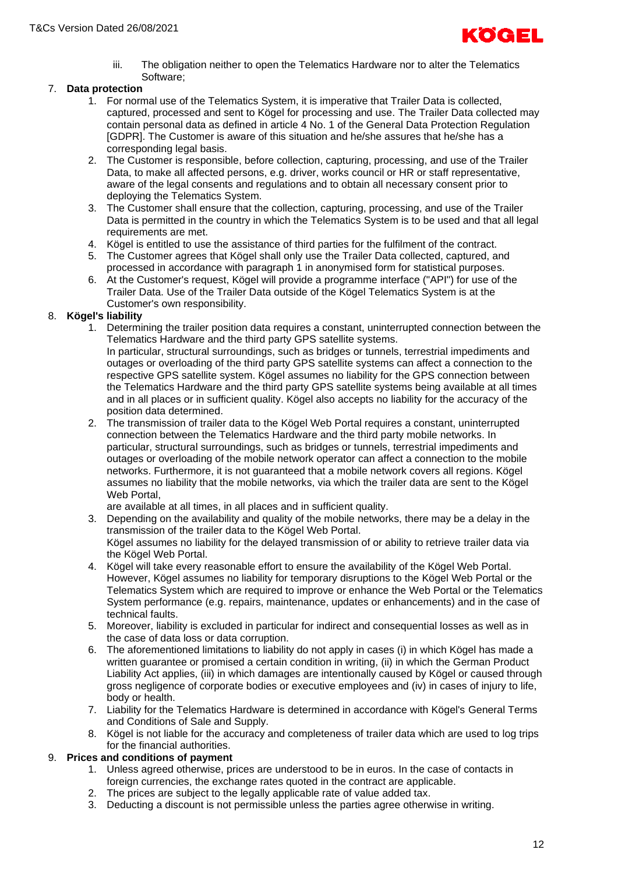

iii. The obligation neither to open the Telematics Hardware nor to alter the Telematics Software;

# 7. **Data protection**

- 1. For normal use of the Telematics System, it is imperative that Trailer Data is collected, captured, processed and sent to Kögel for processing and use. The Trailer Data collected may contain personal data as defined in article 4 No. 1 of the General Data Protection Regulation [GDPR]. The Customer is aware of this situation and he/she assures that he/she has a corresponding legal basis.
- 2. The Customer is responsible, before collection, capturing, processing, and use of the Trailer Data, to make all affected persons, e.g. driver, works council or HR or staff representative, aware of the legal consents and regulations and to obtain all necessary consent prior to deploying the Telematics System.
- 3. The Customer shall ensure that the collection, capturing, processing, and use of the Trailer Data is permitted in the country in which the Telematics System is to be used and that all legal requirements are met.
- 4. Kögel is entitled to use the assistance of third parties for the fulfilment of the contract.
- 5. The Customer agrees that Kögel shall only use the Trailer Data collected, captured, and processed in accordance with paragraph 1 in anonymised form for statistical purposes.
- 6. At the Customer's request, Kögel will provide a programme interface ("API") for use of the Trailer Data. Use of the Trailer Data outside of the Kögel Telematics System is at the Customer's own responsibility.

# 8. **Kögel's liability**

- 1. Determining the trailer position data requires a constant, uninterrupted connection between the Telematics Hardware and the third party GPS satellite systems. In particular, structural surroundings, such as bridges or tunnels, terrestrial impediments and outages or overloading of the third party GPS satellite systems can affect a connection to the respective GPS satellite system. Kögel assumes no liability for the GPS connection between the Telematics Hardware and the third party GPS satellite systems being available at all times and in all places or in sufficient quality. Kögel also accepts no liability for the accuracy of the position data determined.
- 2. The transmission of trailer data to the Kögel Web Portal requires a constant, uninterrupted connection between the Telematics Hardware and the third party mobile networks. In particular, structural surroundings, such as bridges or tunnels, terrestrial impediments and outages or overloading of the mobile network operator can affect a connection to the mobile networks. Furthermore, it is not guaranteed that a mobile network covers all regions. Kögel assumes no liability that the mobile networks, via which the trailer data are sent to the Kögel Web Portal,

are available at all times, in all places and in sufficient quality.

- 3. Depending on the availability and quality of the mobile networks, there may be a delay in the transmission of the trailer data to the Kögel Web Portal. Kögel assumes no liability for the delayed transmission of or ability to retrieve trailer data via the Kögel Web Portal.
- 4. Kögel will take every reasonable effort to ensure the availability of the Kögel Web Portal. However, Kögel assumes no liability for temporary disruptions to the Kögel Web Portal or the Telematics System which are required to improve or enhance the Web Portal or the Telematics System performance (e.g. repairs, maintenance, updates or enhancements) and in the case of technical faults.
- 5. Moreover, liability is excluded in particular for indirect and consequential losses as well as in the case of data loss or data corruption.
- 6. The aforementioned limitations to liability do not apply in cases (i) in which Kögel has made a written guarantee or promised a certain condition in writing, (ii) in which the German Product Liability Act applies, (iii) in which damages are intentionally caused by Kögel or caused through gross negligence of corporate bodies or executive employees and (iv) in cases of injury to life, body or health.
- 7. Liability for the Telematics Hardware is determined in accordance with Kögel's General Terms and Conditions of Sale and Supply.
- 8. Kögel is not liable for the accuracy and completeness of trailer data which are used to log trips for the financial authorities.

#### 9. **Prices and conditions of payment**

- 1. Unless agreed otherwise, prices are understood to be in euros. In the case of contacts in foreign currencies, the exchange rates quoted in the contract are applicable.
- 2. The prices are subject to the legally applicable rate of value added tax.
- 3. Deducting a discount is not permissible unless the parties agree otherwise in writing.